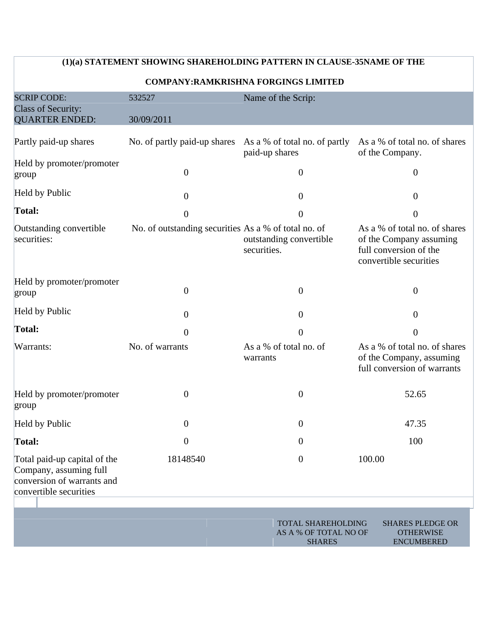|                                                                                                                | (1)(a) STATEMENT SHOWING SHAREHOLDING PATTERN IN CLAUSE-35NAME OF THE |                                                                     |                                                                                                              |
|----------------------------------------------------------------------------------------------------------------|-----------------------------------------------------------------------|---------------------------------------------------------------------|--------------------------------------------------------------------------------------------------------------|
|                                                                                                                |                                                                       | <b>COMPANY:RAMKRISHNA FORGINGS LIMITED</b>                          |                                                                                                              |
| <b>SCRIP CODE:</b><br><b>Class of Security:</b><br><b>QUARTER ENDED:</b>                                       | 532527<br>30/09/2011                                                  | Name of the Scrip:                                                  |                                                                                                              |
| Partly paid-up shares                                                                                          | No. of partly paid-up shares                                          | As a % of total no. of partly<br>paid-up shares                     | As a % of total no. of shares<br>of the Company.                                                             |
| Held by promoter/promoter<br>group                                                                             | $\boldsymbol{0}$                                                      | $\boldsymbol{0}$                                                    | $\overline{0}$                                                                                               |
| Held by Public                                                                                                 | $\theta$                                                              | $\overline{0}$                                                      | $\theta$                                                                                                     |
| Total:                                                                                                         | $\overline{0}$                                                        | $\overline{0}$                                                      | $\overline{0}$                                                                                               |
| Outstanding convertible<br>securities:                                                                         | No. of outstanding securities As a % of total no. of                  | outstanding convertible<br>securities.                              | As a % of total no. of shares<br>of the Company assuming<br>full conversion of the<br>convertible securities |
| Held by promoter/promoter<br>group                                                                             | $\theta$                                                              | $\overline{0}$                                                      | $\mathbf{0}$                                                                                                 |
| Held by Public                                                                                                 | $\boldsymbol{0}$                                                      | $\mathbf{0}$                                                        | $\overline{0}$                                                                                               |
| Total:                                                                                                         | $\overline{0}$                                                        | $\overline{0}$                                                      | $\overline{0}$                                                                                               |
| Warrants:                                                                                                      | No. of warrants                                                       | As a % of total no. of<br>warrants                                  | As a % of total no. of shares<br>of the Company, assuming<br>full conversion of warrants                     |
| Held by promoter/promoter<br>group                                                                             | $\boldsymbol{0}$                                                      | $\overline{0}$                                                      | 52.65                                                                                                        |
| Held by Public                                                                                                 | $\boldsymbol{0}$                                                      | $\overline{0}$                                                      | 47.35                                                                                                        |
| Total:                                                                                                         | $\boldsymbol{0}$                                                      | $\overline{0}$                                                      | 100                                                                                                          |
| Total paid-up capital of the<br>Company, assuming full<br>conversion of warrants and<br>convertible securities | 18148540                                                              | $\mathbf{0}$                                                        | 100.00                                                                                                       |
|                                                                                                                |                                                                       | <b>TOTAL SHAREHOLDING</b><br>AS A % OF TOTAL NO OF<br><b>SHARES</b> | <b>SHARES PLEDGE OR</b><br><b>OTHERWISE</b><br><b>ENCUMBERED</b>                                             |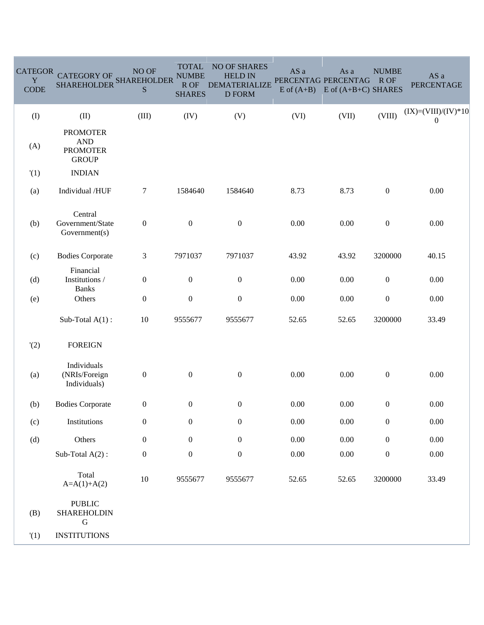| <b>CATEGOR</b><br>Y<br><b>CODE</b> | <b>CATEGORY OF</b><br><b>SHAREHOLDER</b>                         | NO OF<br><b>SHAREHOLDER</b><br>${\bf S}$ | <b>TOTAL</b><br><b>NUMBE</b><br>R OF<br><b>SHARES</b> | <b>NO OF SHARES</b><br><b>HELD IN</b><br><b>DEMATERIALIZE</b><br><b>D FORM</b> | AS a     | As a<br>PERCENTAG PERCENTAG<br>$E$ of $(A+B)$ $E$ of $(A+B+C)$ SHARES | <b>NUMBE</b><br>R OF | AS a<br><b>PERCENTAGE</b>             |
|------------------------------------|------------------------------------------------------------------|------------------------------------------|-------------------------------------------------------|--------------------------------------------------------------------------------|----------|-----------------------------------------------------------------------|----------------------|---------------------------------------|
| $($ $\Gamma$                       | (II)                                                             | (III)                                    | (IV)                                                  | (V)                                                                            | (VI)     | (VII)                                                                 | (VIII)               | $(IX)=(VIII)/(IV)*10$<br>$\mathbf{0}$ |
| (A)                                | <b>PROMOTER</b><br><b>AND</b><br><b>PROMOTER</b><br><b>GROUP</b> |                                          |                                                       |                                                                                |          |                                                                       |                      |                                       |
| '(1)                               | <b>INDIAN</b>                                                    |                                          |                                                       |                                                                                |          |                                                                       |                      |                                       |
| (a)                                | Individual /HUF                                                  | $\tau$                                   | 1584640                                               | 1584640                                                                        | 8.73     | 8.73                                                                  | $\boldsymbol{0}$     | 0.00                                  |
| (b)                                | Central<br>Government/State<br>Government(s)                     | $\boldsymbol{0}$                         | $\boldsymbol{0}$                                      | $\boldsymbol{0}$<br>0.00<br>0.00                                               |          |                                                                       | $\boldsymbol{0}$     | $0.00\,$                              |
| (c)                                | <b>Bodies Corporate</b>                                          | 3                                        | 7971037                                               | 7971037                                                                        | 43.92    | 43.92                                                                 | 3200000              | 40.15                                 |
| (d)                                | Financial<br>Institutions /<br><b>Banks</b>                      | $\boldsymbol{0}$                         | $\boldsymbol{0}$                                      | $\boldsymbol{0}$                                                               | 0.00     | $0.00\,$                                                              | $\boldsymbol{0}$     | 0.00                                  |
| (e)                                | Others                                                           | $\boldsymbol{0}$                         | $\boldsymbol{0}$                                      | $\boldsymbol{0}$                                                               | 0.00     | 0.00                                                                  | $\boldsymbol{0}$     | $0.00\,$                              |
|                                    | Sub-Total $A(1)$ :                                               | $10\,$                                   | 9555677                                               | 9555677                                                                        | 52.65    | 52.65                                                                 | 3200000              | 33.49                                 |
| '(2)                               | <b>FOREIGN</b>                                                   |                                          |                                                       |                                                                                |          |                                                                       |                      |                                       |
| (a)                                | Individuals<br>(NRIs/Foreign<br>Individuals)                     | $\boldsymbol{0}$                         | $\boldsymbol{0}$                                      | $\boldsymbol{0}$                                                               | 0.00     | 0.00                                                                  | $\boldsymbol{0}$     | 0.00                                  |
| (b)                                | <b>Bodies Corporate</b>                                          | $\boldsymbol{0}$                         | $\boldsymbol{0}$                                      | $\boldsymbol{0}$                                                               | 0.00     | $0.00\,$                                                              | $\boldsymbol{0}$     | 0.00                                  |
| (c)                                | Institutions                                                     | $\boldsymbol{0}$                         | $\boldsymbol{0}$                                      | $\boldsymbol{0}$                                                               | 0.00     | $0.00\,$                                                              | $\boldsymbol{0}$     | 0.00                                  |
| (d)                                | Others                                                           | $\boldsymbol{0}$                         | $\boldsymbol{0}$                                      | $\boldsymbol{0}$                                                               | $0.00\,$ | $0.00\,$                                                              | $\boldsymbol{0}$     | 0.00                                  |
|                                    | Sub-Total $A(2)$ :                                               | $\boldsymbol{0}$                         | $\boldsymbol{0}$                                      | $\boldsymbol{0}$                                                               | $0.00\,$ | $0.00\,$                                                              | $\boldsymbol{0}$     | 0.00                                  |
|                                    | Total<br>$A=A(1)+A(2)$                                           | $10\,$                                   | 9555677                                               | 9555677                                                                        | 52.65    | 52.65                                                                 | 3200000              | 33.49                                 |
| (B)                                | <b>PUBLIC</b><br>SHAREHOLDIN<br>$\mathbf G$                      |                                          |                                                       |                                                                                |          |                                                                       |                      |                                       |
| (1)                                | <b>INSTITUTIONS</b>                                              |                                          |                                                       |                                                                                |          |                                                                       |                      |                                       |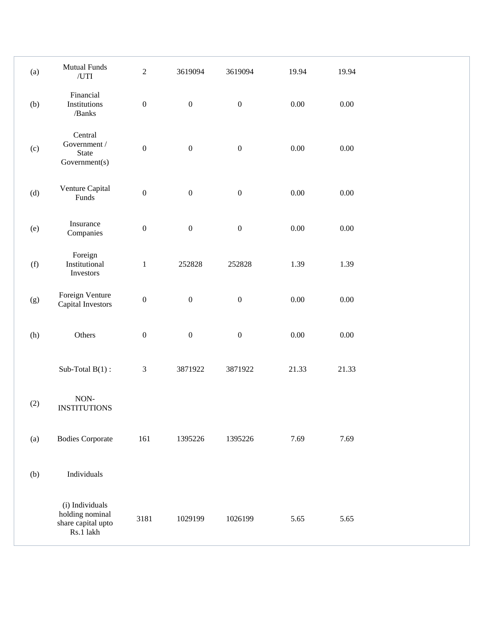| (a)   | <b>Mutual Funds</b><br>/UTI                                           | $\sqrt{2}$       | 3619094          | 3619094          | 19.94    | 19.94    |  |
|-------|-----------------------------------------------------------------------|------------------|------------------|------------------|----------|----------|--|
| (b)   | Financial<br>Institutions<br>/ $Banks$                                | $\boldsymbol{0}$ | $\boldsymbol{0}$ | $\boldsymbol{0}$ | $0.00\,$ | $0.00\,$ |  |
| (c)   | Central<br>Government /<br>State<br>Government(s)                     | $\boldsymbol{0}$ | $\boldsymbol{0}$ | $\boldsymbol{0}$ | $0.00\,$ | $0.00\,$ |  |
| (d)   | Venture Capital<br>Funds                                              | $\boldsymbol{0}$ | $\boldsymbol{0}$ | $\boldsymbol{0}$ | $0.00\,$ | $0.00\,$ |  |
| (e)   | Insurance<br>Companies                                                | $\boldsymbol{0}$ | $\boldsymbol{0}$ | $\boldsymbol{0}$ | 0.00     | $0.00\,$ |  |
| (f)   | Foreign<br>Institutional<br>Investors                                 | $\,1$            | 252828           | 252828           | 1.39     | 1.39     |  |
| (g)   | Foreign Venture<br>Capital Investors                                  | $\boldsymbol{0}$ | $\boldsymbol{0}$ | $\boldsymbol{0}$ | $0.00\,$ | $0.00\,$ |  |
| (h)   | Others                                                                | $\boldsymbol{0}$ | $\boldsymbol{0}$ | $\boldsymbol{0}$ | 0.00     | $0.00\,$ |  |
|       | Sub-Total $B(1)$ :                                                    | $\mathfrak{Z}$   | 3871922          | 3871922          | 21.33    | 21.33    |  |
| $(2)$ | $\rm{NON-}$<br><b>INSTITUTIONS</b>                                    |                  |                  |                  |          |          |  |
| (a)   | <b>Bodies Corporate</b>                                               | 161              | 1395226          | 1395226          | 7.69     | 7.69     |  |
| (b)   | Individuals                                                           |                  |                  |                  |          |          |  |
|       | (i) Individuals<br>holding nominal<br>share capital upto<br>Rs.1 lakh | 3181             | 1029199          | 1026199          | 5.65     | 5.65     |  |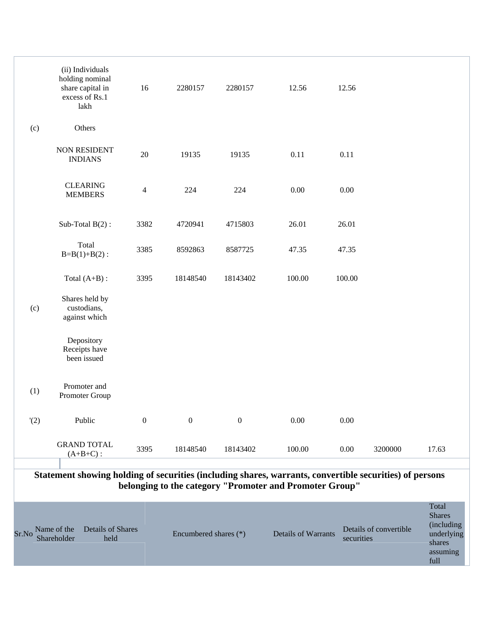|       |                            | (ii) Individuals<br>holding nominal<br>share capital in<br>excess of Rs.1<br>lakh | 16               | 2280157               | 2280157      | 12.56                                                                                                                                                              | 12.56      |                        |                                                                                  |
|-------|----------------------------|-----------------------------------------------------------------------------------|------------------|-----------------------|--------------|--------------------------------------------------------------------------------------------------------------------------------------------------------------------|------------|------------------------|----------------------------------------------------------------------------------|
| (c)   |                            | Others                                                                            |                  |                       |              |                                                                                                                                                                    |            |                        |                                                                                  |
|       |                            | <b>NON RESIDENT</b><br><b>INDIANS</b>                                             | 20               | 19135                 | 19135        | 0.11                                                                                                                                                               | 0.11       |                        |                                                                                  |
|       |                            | <b>CLEARING</b><br><b>MEMBERS</b>                                                 | $\overline{4}$   | 224                   | 224          | 0.00                                                                                                                                                               | 0.00       |                        |                                                                                  |
|       |                            | Sub-Total $B(2)$ :                                                                | 3382             | 4720941               | 4715803      | 26.01                                                                                                                                                              | 26.01      |                        |                                                                                  |
|       |                            | Total<br>$B=B(1)+B(2)$ :                                                          | 3385             | 8592863               | 8587725      | 47.35                                                                                                                                                              | 47.35      |                        |                                                                                  |
|       |                            | Total $(A+B)$ :                                                                   | 3395             | 18148540              | 18143402     | 100.00                                                                                                                                                             | 100.00     |                        |                                                                                  |
| (c)   |                            | Shares held by<br>custodians,<br>against which                                    |                  |                       |              |                                                                                                                                                                    |            |                        |                                                                                  |
|       |                            | Depository<br>Receipts have<br>been issued                                        |                  |                       |              |                                                                                                                                                                    |            |                        |                                                                                  |
| (1)   |                            | Promoter and<br>Promoter Group                                                    |                  |                       |              |                                                                                                                                                                    |            |                        |                                                                                  |
|       | '(2)                       | Public                                                                            | $\boldsymbol{0}$ | $\mathbf{0}$          | $\mathbf{0}$ | 0.00                                                                                                                                                               | 0.00       |                        |                                                                                  |
|       |                            | <b>GRAND TOTAL</b><br>$(A+B+C)$ :                                                 | 3395             | 18148540              | 18143402     | 100.00                                                                                                                                                             | 0.00       | 3200000                | 17.63                                                                            |
|       |                            |                                                                                   |                  |                       |              |                                                                                                                                                                    |            |                        |                                                                                  |
|       |                            |                                                                                   |                  |                       |              | Statement showing holding of securities (including shares, warrants, convertible securities) of persons<br>belonging to the category "Promoter and Promoter Group" |            |                        |                                                                                  |
| Sr.No | Name of the<br>Shareholder | <b>Details of Shares</b><br>held                                                  |                  | Encumbered shares (*) |              | Details of Warrants                                                                                                                                                | securities | Details of convertible | Total<br><b>Shares</b><br>(including<br>underlying<br>shares<br>assuming<br>full |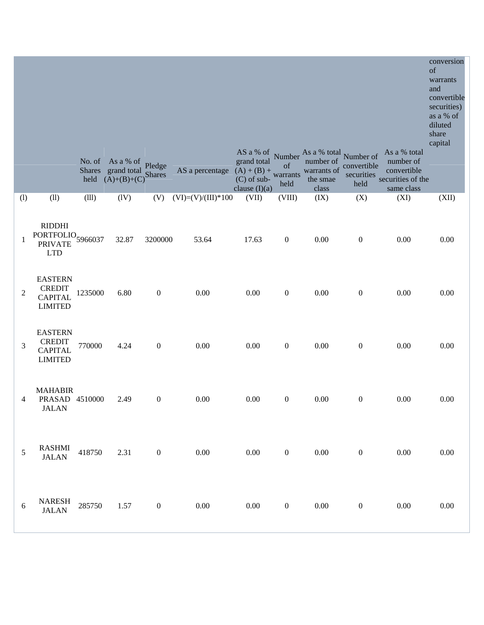|     |                                                                               |         | No. of As a % of Pledge<br>Shares grand total Pleuge<br>held $(A)+(B)+(C)$ Shares |                  | AS a percentage $(A) + (B) +$ | grand total<br>$(C)$ of sub- | $\sigma$<br>warrants<br>held | AS a % of Number As a % total Number of<br>number of<br>warrants of<br>the smae | convertible<br>securities<br>held | As a % total<br>number of<br>convertible<br>securities of the | conversion<br>of<br>warrants<br>and<br>convertible<br>securities)<br>as a % of<br>diluted<br>share<br>capital |
|-----|-------------------------------------------------------------------------------|---------|-----------------------------------------------------------------------------------|------------------|-------------------------------|------------------------------|------------------------------|---------------------------------------------------------------------------------|-----------------------------------|---------------------------------------------------------------|---------------------------------------------------------------------------------------------------------------|
| (1) | (11)                                                                          | (111)   | (IV)                                                                              | (V)              | $(VI)=(V)/(III)*100$          | clause $(I)(a)$<br>(VII)     | (VIII)                       | class<br>(IX)                                                                   | (X)                               | same class<br>(XI)                                            | (XII)                                                                                                         |
| -1  | <b>RIDDHI</b><br>PORTFOLIO <sub>5966037</sub><br><b>PRIVATE</b><br><b>LTD</b> |         | 32.87                                                                             | 3200000          | 53.64                         | 17.63                        | $\boldsymbol{0}$             | 0.00                                                                            | $\boldsymbol{0}$                  | 0.00                                                          | 0.00                                                                                                          |
| 2   | <b>EASTERN</b><br><b>CREDIT</b><br><b>CAPITAL</b><br><b>LIMITED</b>           | 1235000 | 6.80                                                                              | $\boldsymbol{0}$ | 0.00                          | 0.00                         | $\boldsymbol{0}$             | 0.00                                                                            | $\boldsymbol{0}$                  | 0.00                                                          | 0.00                                                                                                          |
| 3   | <b>EASTERN</b><br><b>CREDIT</b><br><b>CAPITAL</b><br><b>LIMITED</b>           | 770000  | 4.24                                                                              | $\mathbf{0}$     | 0.00                          | $0.00\,$                     | $\boldsymbol{0}$             | 0.00                                                                            | $\boldsymbol{0}$                  | 0.00                                                          | 0.00                                                                                                          |
| 4   | <b>MAHABIR</b><br>PRASAD 4510000<br>JALAN                                     |         | 2.49                                                                              | $\boldsymbol{0}$ | 0.00                          | 0.00                         | $\boldsymbol{0}$             | 0.00                                                                            | $\boldsymbol{0}$                  | 0.00                                                          | 0.00                                                                                                          |
| 5   | <b>RASHMI</b><br><b>JALAN</b>                                                 | 418750  | 2.31                                                                              | $\boldsymbol{0}$ | 0.00                          | $0.00\,$                     | $\boldsymbol{0}$             | 0.00                                                                            | $\boldsymbol{0}$                  | $0.00\,$                                                      | $0.00\,$                                                                                                      |
| 6   | <b>NARESH</b><br><b>JALAN</b>                                                 | 285750  | 1.57                                                                              | $\boldsymbol{0}$ | $0.00\,$                      | $0.00\,$                     | $\boldsymbol{0}$             | $0.00\,$                                                                        | $\boldsymbol{0}$                  | 0.00                                                          | 0.00                                                                                                          |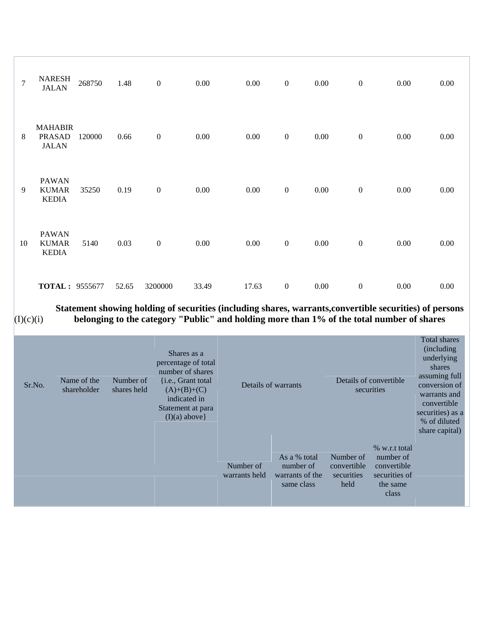| $\overline{7}$ | <b>NARESH</b><br><b>JALAN</b>                   | 268750 | 1.48  | $\boldsymbol{0}$ | 0.00  | $0.00\,$ | $\boldsymbol{0}$ | $0.00\,$ | $\boldsymbol{0}$ | 0.00     | $0.00\,$ |
|----------------|-------------------------------------------------|--------|-------|------------------|-------|----------|------------------|----------|------------------|----------|----------|
| 8              | <b>MAHABIR</b><br><b>PRASAD</b><br><b>JALAN</b> | 120000 | 0.66  | $\boldsymbol{0}$ | 0.00  | $0.00\,$ | $\boldsymbol{0}$ | $0.00\,$ | $\boldsymbol{0}$ | 0.00     | 0.00     |
| 9              | <b>PAWAN</b><br><b>KUMAR</b><br><b>KEDIA</b>    | 35250  | 0.19  | $\boldsymbol{0}$ | 0.00  | $0.00\,$ | $\boldsymbol{0}$ | $0.00\,$ | $\boldsymbol{0}$ | $0.00\,$ | 0.00     |
| 10             | <b>PAWAN</b><br><b>KUMAR</b><br><b>KEDIA</b>    | 5140   | 0.03  | $\boldsymbol{0}$ | 0.00  | $0.00\,$ | $\boldsymbol{0}$ | $0.00\,$ | $\boldsymbol{0}$ | $0.00\,$ | $0.00\,$ |
|                | <b>TOTAL: 9555677</b>                           |        | 52.65 | 3200000          | 33.49 | 17.63    | $\boldsymbol{0}$ | $0.00\,$ | $\boldsymbol{0}$ | 0.00     | 0.00     |

**Statement showing holding of securities (including shares, warrants,convertible securities) of persons** 

 $(I)(c)(i)$ 

**belonging to the category "Public" and holding more than 1% of the total number of shares** 

| Sr.No. | Name of the<br>shareholder | Number of<br>shares held | Shares as a<br>percentage of total<br>number of shares<br>{i.e., Grant total<br>$(A)+(B)+(C)$<br>indicated in<br>Statement at para<br>$(I)(a)$ above} |                            | Details of warrants                                        |                                                | Details of convertible<br>securities                                            |  |  |
|--------|----------------------------|--------------------------|-------------------------------------------------------------------------------------------------------------------------------------------------------|----------------------------|------------------------------------------------------------|------------------------------------------------|---------------------------------------------------------------------------------|--|--|
|        |                            |                          |                                                                                                                                                       | Number of<br>warrants held | As a % total<br>number of<br>warrants of the<br>same class | Number of<br>convertible<br>securities<br>held | % w.r.t total<br>number of<br>convertible<br>securities of<br>the same<br>class |  |  |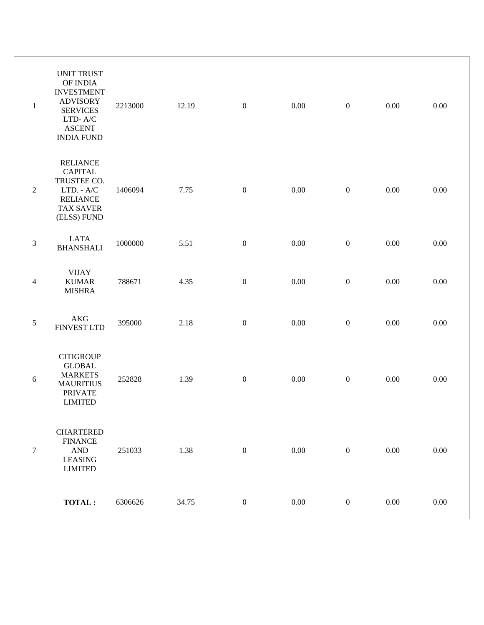| $\mathbf{1}$   | <b>UNIT TRUST</b><br>OF INDIA<br><b>INVESTMENT</b><br><b>ADVISORY</b><br><b>SERVICES</b><br>LTD- $A/C$<br><b>ASCENT</b><br><b>INDIA FUND</b> | 2213000 | 12.19 | $\boldsymbol{0}$ | 0.00     | $\boldsymbol{0}$ | 0.00     | 0.00     |
|----------------|----------------------------------------------------------------------------------------------------------------------------------------------|---------|-------|------------------|----------|------------------|----------|----------|
| $\overline{2}$ | <b>RELIANCE</b><br><b>CAPITAL</b><br>TRUSTEE CO.<br>LTD. - A/C<br><b>RELIANCE</b><br><b>TAX SAVER</b><br>(ELSS) FUND                         | 1406094 | 7.75  | $\boldsymbol{0}$ | 0.00     | $\boldsymbol{0}$ | 0.00     | $0.00\,$ |
| $\mathfrak{Z}$ | <b>LATA</b><br><b>BHANSHALI</b>                                                                                                              | 1000000 | 5.51  | $\boldsymbol{0}$ | $0.00\,$ | $\boldsymbol{0}$ | $0.00\,$ | 0.00     |
| 4              | <b>VIJAY</b><br><b>KUMAR</b><br><b>MISHRA</b>                                                                                                | 788671  | 4.35  | $\boldsymbol{0}$ | $0.00\,$ | $\boldsymbol{0}$ | $0.00\,$ | $0.00\,$ |
| $\sqrt{5}$     | <b>AKG</b><br><b>FINVEST LTD</b>                                                                                                             | 395000  | 2.18  | $\boldsymbol{0}$ | 0.00     | $\boldsymbol{0}$ | $0.00\,$ | 0.00     |
| $\sqrt{6}$     | <b>CITIGROUP</b><br><b>GLOBAL</b><br><b>MARKETS</b><br><b>MAURITIUS</b><br><b>PRIVATE</b><br><b>LIMITED</b>                                  | 252828  | 1.39  | $\boldsymbol{0}$ | 0.00     | $\boldsymbol{0}$ | 0.00     | 0.00     |
| $\tau$         | <b>CHARTERED</b><br><b>FINANCE</b><br>$\mathbf{AND}$<br><b>LEASING</b><br><b>LIMITED</b>                                                     | 251033  | 1.38  | $\boldsymbol{0}$ | 0.00     | $\mathbf{0}$     | 0.00     | 0.00     |
|                | <b>TOTAL:</b>                                                                                                                                | 6306626 | 34.75 | $\boldsymbol{0}$ | $0.00\,$ | $\boldsymbol{0}$ | 0.00     | $0.00\,$ |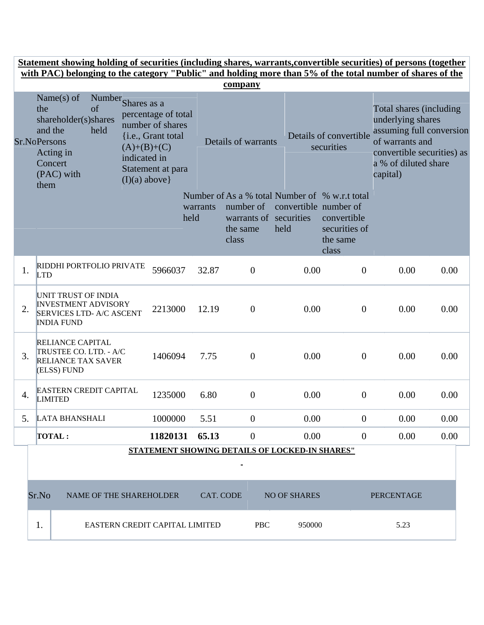|    |                                    | <u>Statement showing holding of securities (including shares, warrants, convertible securities) of persons (together</u><br>with PAC) belonging to the category "Public" and holding more than 5% of the total number of shares of the |                                                  |                                                                                    |                                |                                                          |                               |                                                                                                     |                                                                                                                                                               |      |
|----|------------------------------------|----------------------------------------------------------------------------------------------------------------------------------------------------------------------------------------------------------------------------------------|--------------------------------------------------|------------------------------------------------------------------------------------|--------------------------------|----------------------------------------------------------|-------------------------------|-----------------------------------------------------------------------------------------------------|---------------------------------------------------------------------------------------------------------------------------------------------------------------|------|
|    |                                    |                                                                                                                                                                                                                                        |                                                  |                                                                                    |                                | company                                                  |                               |                                                                                                     |                                                                                                                                                               |      |
|    | the<br><b>Sr.NoPersons</b><br>them | Name $(s)$ of<br>Number Shares as a<br>shareholder(s)shares<br>and the<br>held<br>Acting in<br>Concert<br>(PAC) with                                                                                                                   | $(A)+(B)+(C)$<br>indicated in<br>$(I)(a)$ above} | percentage of total<br>number of shares<br>{i.e., Grant total<br>Statement at para |                                | Details of warrants                                      |                               | Details of convertible<br>securities                                                                | Total shares (including<br>underlying shares<br>assuming full conversion<br>of warrants and<br>convertible securities) as<br>a % of diluted share<br>capital) |      |
|    |                                    |                                                                                                                                                                                                                                        |                                                  |                                                                                    | warrants<br>held               | number of<br>warrants of securities<br>the same<br>class | convertible number of<br>held | Number of As a % total Number of % w.r.t total<br>convertible<br>securities of<br>the same<br>class |                                                                                                                                                               |      |
| 1. | <b>LTD</b>                         | RIDDHI PORTFOLIO PRIVATE                                                                                                                                                                                                               |                                                  | 5966037                                                                            | 32.87                          | $\overline{0}$                                           | 0.00                          | $\overline{0}$                                                                                      | 0.00                                                                                                                                                          | 0.00 |
| 2. |                                    | UNIT TRUST OF INDIA<br><b>INVESTMENT ADVISORY</b><br><b>SERVICES LTD- A/C ASCENT</b><br><b>INDIA FUND</b>                                                                                                                              |                                                  | 2213000                                                                            | 12.19                          | $\theta$                                                 | 0.00                          | $\overline{0}$                                                                                      | 0.00                                                                                                                                                          | 0.00 |
| 3. |                                    | <b>RELIANCE CAPITAL</b><br>TRUSTEE CO. LTD. - A/C<br><b>RELIANCE TAX SAVER</b><br>(ELSS) FUND                                                                                                                                          |                                                  | 1406094                                                                            | 7.75                           | $\overline{0}$                                           | 0.00                          | $\boldsymbol{0}$                                                                                    | 0.00                                                                                                                                                          | 0.00 |
| 4. |                                    | <b>EASTERN CREDIT CAPITAL</b><br><b>LIMITED</b>                                                                                                                                                                                        |                                                  | 1235000                                                                            | 6.80                           | 0                                                        | 0.00                          | $\boldsymbol{0}$                                                                                    | 0.00                                                                                                                                                          | 0.00 |
| 5. |                                    | <b>LATA BHANSHALI</b>                                                                                                                                                                                                                  |                                                  | 1000000                                                                            | 5.51                           | $\boldsymbol{0}$                                         | 0.00                          | $\overline{0}$                                                                                      | 0.00                                                                                                                                                          | 0.00 |
|    |                                    | <b>TOTAL:</b>                                                                                                                                                                                                                          |                                                  | 11820131                                                                           | 65.13                          | $\overline{0}$                                           | 0.00                          | $\overline{0}$                                                                                      | 0.00                                                                                                                                                          | 0.00 |
|    |                                    |                                                                                                                                                                                                                                        |                                                  |                                                                                    |                                | STATEMENT SHOWING DETAILS OF LOCKED-IN SHARES"           |                               |                                                                                                     |                                                                                                                                                               |      |
|    | Sr.No                              | NAME OF THE SHAREHOLDER                                                                                                                                                                                                                |                                                  |                                                                                    | <b>CAT. CODE</b>               |                                                          | <b>NO OF SHARES</b>           |                                                                                                     | <b>PERCENTAGE</b>                                                                                                                                             |      |
|    | 1.                                 |                                                                                                                                                                                                                                        |                                                  |                                                                                    | EASTERN CREDIT CAPITAL LIMITED | <b>PBC</b>                                               | 950000                        |                                                                                                     | 5.23                                                                                                                                                          |      |